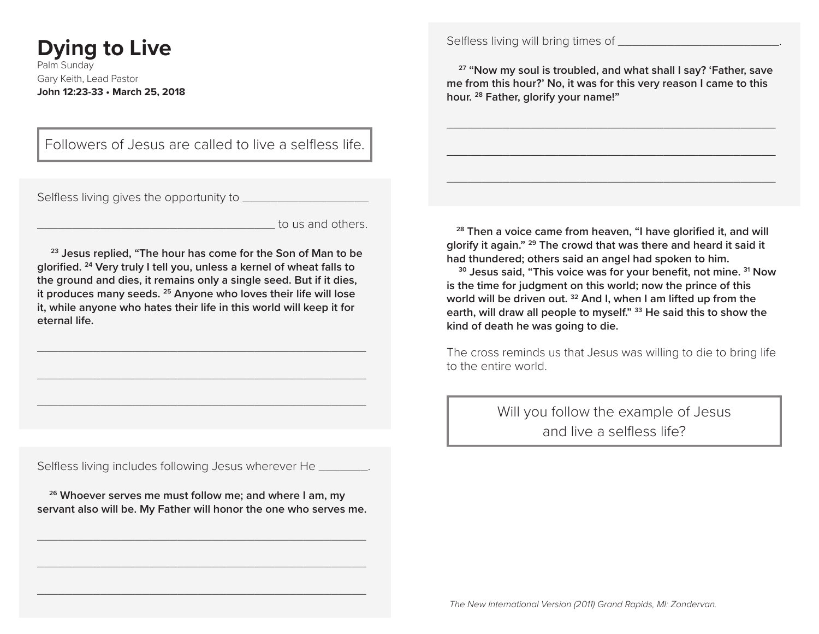# **Dying to Live**

Palm Sunday Gary Keith, Lead Pastor **John 12:23-33 • March 25, 2018** Selfless living will bring times of \_\_\_\_\_\_\_\_\_\_\_\_\_\_\_\_\_\_\_\_\_\_\_.

 **27 "Now my soul is troubled, and what shall I say? 'Father, save me from this hour?' No, it was for this very reason I came to this hour. 28 Father, glorify your name!"**

\_\_\_\_\_\_\_\_\_\_\_\_\_\_\_\_\_\_\_\_\_\_\_\_\_\_\_\_\_\_\_\_\_\_\_\_\_\_\_\_\_\_\_\_\_\_\_

\_\_\_\_\_\_\_\_\_\_\_\_\_\_\_\_\_\_\_\_\_\_\_\_\_\_\_\_\_\_\_\_\_\_\_\_\_\_\_\_\_\_\_\_\_\_\_

\_\_\_\_\_\_\_\_\_\_\_\_\_\_\_\_\_\_\_\_\_\_\_\_\_\_\_\_\_\_\_\_\_\_\_\_\_\_\_\_\_\_\_\_\_\_\_

Followers of Jesus are called to live a selfless life.

Selfless living gives the opportunity to \_\_\_\_\_\_\_\_\_\_\_\_\_\_\_\_\_\_

to us and others.

 **23 Jesus replied, "The hour has come for the Son of Man to be glorified. 24 Very truly I tell you, unless a kernel of wheat falls to the ground and dies, it remains only a single seed. But if it dies, it produces many seeds. 25 Anyone who loves their life will lose it, while anyone who hates their life in this world will keep it for eternal life.**

\_\_\_\_\_\_\_\_\_\_\_\_\_\_\_\_\_\_\_\_\_\_\_\_\_\_\_\_\_\_\_\_\_\_\_\_\_\_\_\_\_\_\_\_\_\_\_

\_\_\_\_\_\_\_\_\_\_\_\_\_\_\_\_\_\_\_\_\_\_\_\_\_\_\_\_\_\_\_\_\_\_\_\_\_\_\_\_\_\_\_\_\_\_\_

\_\_\_\_\_\_\_\_\_\_\_\_\_\_\_\_\_\_\_\_\_\_\_\_\_\_\_\_\_\_\_\_\_\_\_\_\_\_\_\_\_\_\_\_\_\_\_

Selfless living includes following Jesus wherever He \_\_\_\_\_\_\_.

 **26 Whoever serves me must follow me; and where I am, my servant also will be. My Father will honor the one who serves me.**

\_\_\_\_\_\_\_\_\_\_\_\_\_\_\_\_\_\_\_\_\_\_\_\_\_\_\_\_\_\_\_\_\_\_\_\_\_\_\_\_\_\_\_\_\_\_\_

\_\_\_\_\_\_\_\_\_\_\_\_\_\_\_\_\_\_\_\_\_\_\_\_\_\_\_\_\_\_\_\_\_\_\_\_\_\_\_\_\_\_\_\_\_\_\_

\_\_\_\_\_\_\_\_\_\_\_\_\_\_\_\_\_\_\_\_\_\_\_\_\_\_\_\_\_\_\_\_\_\_\_\_\_\_\_\_\_\_\_\_\_\_\_

 **28 Then a voice came from heaven, "I have glorified it, and will glorify it again." 29 The crowd that was there and heard it said it had thundered; others said an angel had spoken to him.**

 **30 Jesus said, "This voice was for your benefit, not mine. 31 Now is the time for judgment on this world; now the prince of this world will be driven out. 32 And I, when I am lifted up from the earth, will draw all people to myself." 33 He said this to show the kind of death he was going to die.**

The cross reminds us that Jesus was willing to die to bring life to the entire world.

> Will you follow the example of Jesus and live a selfless life?